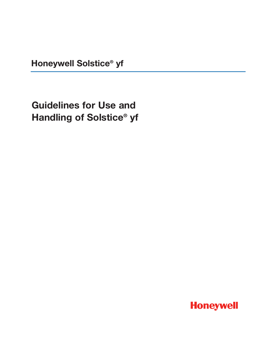**Honeywell Solstice® yf**

**Guidelines for Use and Handling of Solstice® yf**

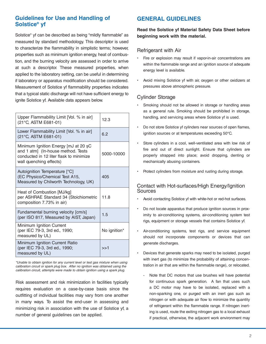## **Guidelines for Use and Handling of Solstice® yf**

Solstice® yf can be described as being "mildly flammable" as measured by standard methodology. This descriptor is used to characterize the flammability in simplistic terms; however, properties such as minimum ignition energy, heat of combustion, and the burning velocity are assessed in order to arrive at such a descriptor. These measured properties, when applied to the laboratory setting, can be useful in determining if laboratory or apparatus modification should be considered. Measurement of Solstice yf flammability properties indicates that a typical static discharge will not have sufficient energy to ignite Solstice yf. Available data appears below.

| Upper Flammability Limit [Vol. % in air]<br>(21°C, ASTM E681-01)                                                                                 | 12.3         |
|--------------------------------------------------------------------------------------------------------------------------------------------------|--------------|
| Lower Flammability Limit [Vol. % in air]<br>(21°C, ASTM E681-01)                                                                                 | 6.2          |
| Minimum Ignition Energy [mJ at 20 sC<br>and 1 atm] (In-house method. Tests<br>conducted in 12 liter flask to minimize<br>wall quenching effects) | 5000-10000   |
| Autoignition Temperature [°C]<br>(EC Physico/Chemical Test A15,<br>Measured by Chilworth Technology, UK)                                         | 405          |
| Heat of Combustion [MJ/kg]<br>per ASHRAE Standard 34 (Stoichiometric<br>composition 7.73% in air)                                                | 11.8         |
| Fundamental burning velocity [cm/s]<br>(per ISO 817, Measured by AIST, Japan)                                                                    | 1.5          |
| Minimum Ignition Current<br>(per IEC 79-3, 3rd ed., 1990;<br>measured by UL)                                                                     | No ignition* |
| Minimum Ignition Current Ratio<br>(per IEC 79-3, 3rd ed., 1990;<br>measured by UL)                                                               | >>1          |

*\*Unable to obtain ignition for any current level or test gas mixture when using calibration circuit or spark plug box. After no ignition was obtained using the calibration circuit, attempts were made to obtain ignition using a spark plug.*

Risk assessment and risk minimization in facilities typically requires evaluation on a case-by-case basis since the outfitting of individual facilities may vary from one another in many ways. To assist the end-user in assessing and minimizing risk in association with the use of Solstice yf, a number of general guidelines can be applied.

# **GENERAL GUIDELINES**

### **Read the Solstice yf Material Safety Data Sheet before beginning work with the material.**

### Refrigerant with Air

- Fire or explosion may result if vapor-in-air concentrations are within the flammable range and an ignition source of adequate energy level is available.
- Avoid mixing Solstice yf with air, oxygen or other oxidizers at pressures above atmospheric pressure.

## Cylinder Storage

- Smoking should not be allowed in storage or handling areas as a general rule. Smoking should be prohibited in storage, handling, and servicing areas where Solstice yf is used.
- Do not store Solstice yf cylinders near sources of open flames, ignition sources or at temperatures exceeding 50°C.
- Store cylinders in a cool, well-ventilated area with low risk of fire and out of direct sunlight. Ensure that cylinders are properly strapped into place; avoid dropping, denting or mechanically abusing containers.
- Protect cylinders from moisture and rusting during storage.

#### Contact with Hot-surfaces/High Energy/Ignition Sources

- Avoid contacting Solstice yf with white-hot or red-hot surfaces.
- Do not locate apparatus that produce ignition sources in proximity to air-conditioning systems, air-conditioning system test rigs, equipment or storage vessels that contains Solstice yf.
- Air-conditioning systems, test rigs, and service equipment should not incorporate components or devices that can generate discharges.
- Devices that generate sparks may need to be isolated, purged with inert gas (to minimize the probability of attaining concentration in air that are within the flammable range), or relocated.
	- Note that DC motors that use brushes will have potential for continuous spark generation. A fan that uses such a DC motor may have to be isolated, replaced with a non-sparking one, or purged with an inert gas such as nitrogen or with adequate air flow to minimize the quantity of refrigerant within the flammable range. If nitrogen inerting is used, route the exiting nitrogen gas to a local exhaust if practical, otherwise, the adjacent work environment may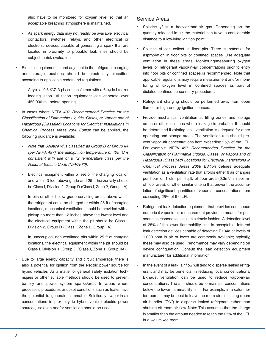also have to be monitored for oxygen level so that an acceptable breathing atmosphere is maintained.

- As spark energy data may not readily be available, electrical contactors, switches, relays, and other electrical or electronic devices capable of generating a spark that are located in proximity to probable leak sites should be subject to risk evaluation.
- Electrical equipment in and adjacent to the refrigerant charging and storage locations should be electrically classified according to applicable codes and regulations.
- A typical 0.5 KVA 3-phase transformer with a 6-cycle breaker feeding shop utilization equipment can generate over 450,000 mJ before opening.
- In cases where NFPA 497 Recommended Practice for the Classification of Flammable Liquids, Gases, or Vapors and of Hazardous (Classified) Locations for Electrical Installations in Chemical Process Areas 2008 Edition can be applied, the following guidance is available:
- Note that Solstice yf is classified as Group D or Group IIA (per NFPA 497): the autoignition temperature of 405  $\degree$ C is consistent with use of a T2 temperature class per the National Electric Code (NFPA-70).
- Electrical equipment within 5 feet of the charging location and within 3 feet above grade and 25 ft horizontally should be Class I, Division 2, Group D (Class I, Zone 2, Group IIA).
- In pits or other below grade servicing areas, above which the refrigerant could be charged or within 25 ft of charging locations, mechanical ventilation should be provided with a pickup no more than 12 inches above the lowest level and the electrical equipment within the pit should be Class I, Division 2, Group D (Class I, Zone 2, Group IIA).
- In unoccupied, non-ventilated pits within 25 ft of charging locations, the electrical equipment within the pit should be Class I, Division 1, Group D (Class I, Zone 1, Group IIA).
- Due to large energy capacity and circuit amperage, there is also a potential for ignition from the electric power source for hybrid vehicles. As a matter of general safety, isolation techniques or other suitable methods should be used to prevent battery and power system sparks/arcs. In areas where processes, procedures or upset conditions such as leaks have the potential to generate flammable Solstice yf vapor-in-air concentrations in proximity to hybrid vehicle electric power sources, isolation and/or ventilation should be used.

#### Service Areas

- Solstice yf is a heavier-than-air gas. Depending on the quantity released in air, the material can travel a considerable distance to a low-lying ignition point.
- Solstice yf can collect in floor pits. There is potential for asphyxiation in floor pits or confined spaces. Use adequate ventilation in these areas. Monitoring/measuring oxygen levels or refrigerant vapor-in-air concentrations prior to entry into floor pits or confined spaces is recommended. Note that applicable regulations may require measurement and/or monitoring of oxygen level in confined spaces as part of dictated confined space entry procedures.
- Refrigerant charging should be performed away from open flames or high energy ignition sources.
- Provide mechanical ventilation at filling zones and storage areas or other locations where leakage is probable. It should be determined if existing local ventilation is adequate for other operating and storage areas. The ventilation rate should prevent vapor–air concentrations from exceeding 25% of the LFL. For example, NFPA 497 Recommended Practice for the Classification of Flammable Liquids, Gases, or Vapors and of Hazardous (Classified) Locations for Electrical Installations in Chemical Process Areas 2008 Edition defines adequate ventilation as a ventilation rate that affords either 6 air changes per hour, or 1 cfm per sq.ft. of floor area (0.3m<sup>3</sup>/min per m<sup>2</sup> of floor area), or other similar criteria that prevent the accumulation of significant quantities of vapor–air concentrations from exceeding 25% of the LFL.
- Refrigerant leak detection equipment that provides continuous numerical vapor-in-air measurement provides a means for personnel to respond to a leak in a timely fashion. A detection level of 25% of the lower flammability limit is acceptable. Infrared leak detection devices capable of detecting R134a at levels of 1,000 ppm in air or lower are commonly available; typically, these may also be used. Performance may vary depending on device configuration. Consult the leak detection equipment manufacturer for additional information.
- In the event of a leak, air flow will tend to disperse leaked refrigerant and may be beneficial in reducing local concentrations. Exhaust ventilation can be used to reduce vapor-in-air concentrations. The aim should be to maintain concentrations below the lower flammability limit. For example, in a calorimeter room, it may be best to leave the room air circulating (room air handler "ON") to disperse leaked refrigerant rather than shutting off room air flow. Note: This assumes that the charge is smaller than the amount needed to reach the 25% of the LFL in a well mixed room.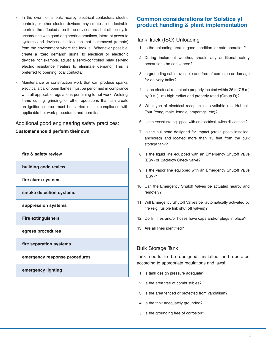- In the event of a leak, nearby electrical contactors, electric controls, or other electric devices may create an undesirable spark in the affected area if the devices are shut off locally. In accordance with good engineering practices, interrupt power to systems and devices at a location that is removed (remote) from the environment where the leak is. Whenever possible, create a "zero demand" signal to electrical or electronic devices, for example, adjust a servo-controlled relay serving electric resistance heaters to eliminate demand. This is preferred to opening local contacts.
- Maintenance or construction work that can produce sparks, electrical arcs, or open flames must be performed in compliance with all applicable regulations pertaining to hot work. Welding, flame cutting, grinding, or other operations that can create an ignition source, must be carried out in compliance with applicable hot work procedures and permits.

## Additional good engineering safety practices:

**Customer should perform their own**



## **Common considerations for Solstice yf product handling & plant implementation**

## Tank Truck (ISO) Unloading

- 1. Is the unloading area in good condition for safe operation?
- 2. During inclement weather, should any additional safety precautions be considered?
- 3. Is grounding cable available and free of corrosion or damage for delivery trailer?
- 4. Is the electrical receptacle properly located within 25 ft (7.5 m) by 3 ft (1 m) high radius and properly rated (Group D)?
- 5. What ype of electrical receptacle is available (i.e. Hubbell, Four Prong, male, female, amperage, etc)?
- 6. Is the receptacle equipped with an electrical switch disconnect?
- 7. Is the bulkhead designed for impact (crash posts installed, anchored) and located more than 15 feet from the bulk storage tank?
- 8. Is the liquid line equipped with an Emergency Shutoff Valve (ESV) or Backflow Check valve?
- 9. Is the vapor line equipped with an Emergency Shutoff Valve (ESV)?
- 10. Can the Emergency Shutoff Valves be actuated nearby and remotely?
- 11. Will Emergency Shutoff Valves be automatically activated by fire (e.g. fusible link shut off valves)?
- 12. Do fill lines and/or hoses have caps and/or plugs in place?
- 13. Are all lines identified?

### Bulk Storage Tank

Tank needs to be designed, installed and operated according to appropriate regulations and laws!

- 1. Is tank design pressure adequate?
- 2. Is the area free of combustibles?
- 3. Is the area fenced or protected from vandalism?
- 4. Is the tank adequately grounded?
- 5. Is the grounding free of corrosion?